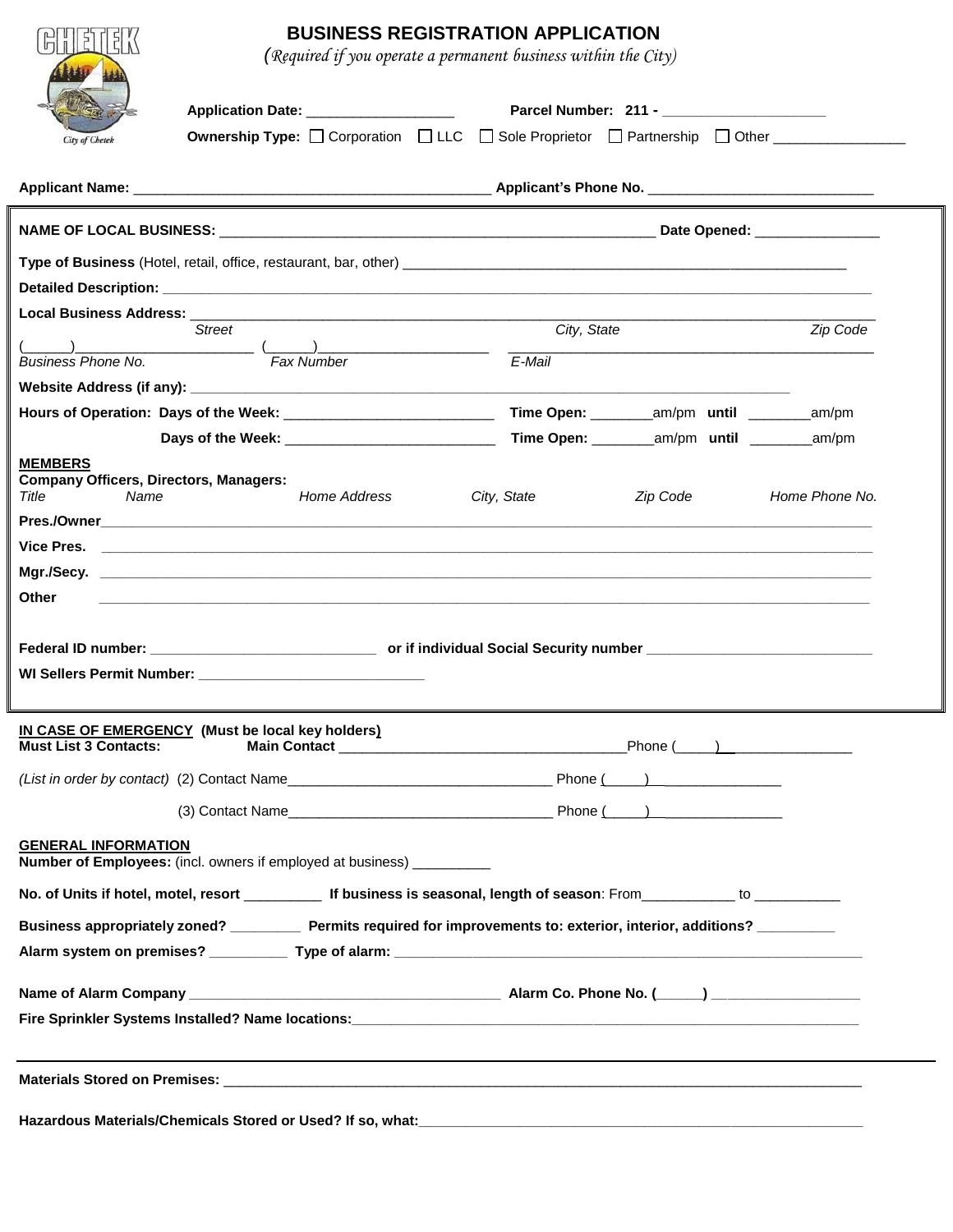|                                                                           | <b>BUSINESS REGISTRATION APPLICATION</b><br>(Required if you operate a permanent business within the $City)$ )                 |             |                                           |                |  |  |
|---------------------------------------------------------------------------|--------------------------------------------------------------------------------------------------------------------------------|-------------|-------------------------------------------|----------------|--|--|
|                                                                           |                                                                                                                                |             | Parcel Number: 211 - ____________________ |                |  |  |
| <b>City of Chetek</b>                                                     | Ownership Type: □ Corporation □ LLC □ Sole Proprietor □ Partnership □ Other ___________                                        |             |                                           |                |  |  |
|                                                                           |                                                                                                                                |             |                                           |                |  |  |
|                                                                           |                                                                                                                                |             |                                           |                |  |  |
|                                                                           |                                                                                                                                |             |                                           |                |  |  |
|                                                                           |                                                                                                                                |             |                                           |                |  |  |
|                                                                           |                                                                                                                                |             |                                           |                |  |  |
|                                                                           | Street                                                                                                                         | City, State |                                           | Zip Code       |  |  |
| <b>Business Phone No.</b>                                                 |                                                                                                                                | E-Mail      |                                           |                |  |  |
|                                                                           |                                                                                                                                |             |                                           |                |  |  |
|                                                                           |                                                                                                                                |             |                                           |                |  |  |
|                                                                           |                                                                                                                                |             |                                           |                |  |  |
| <b>MEMBERS</b><br>Company Officers, Directors, Managers:<br>Title<br>Name | Home Address                                                                                                                   | City, State | Zip Code                                  | Home Phone No. |  |  |
|                                                                           |                                                                                                                                |             |                                           |                |  |  |
|                                                                           |                                                                                                                                |             |                                           |                |  |  |
| <b>Other</b>                                                              |                                                                                                                                |             |                                           |                |  |  |
| <b>Must List 3 Contacts:</b>                                              | IN CASE OF EMERGENCY (Must be local key holders)                                                                               |             |                                           |                |  |  |
|                                                                           |                                                                                                                                |             |                                           |                |  |  |
|                                                                           |                                                                                                                                |             |                                           |                |  |  |
| <b>GENERAL INFORMATION</b>                                                | Number of Employees: (incl. owners if employed at business) __________                                                         |             |                                           |                |  |  |
|                                                                           | No. of Units if hotel, motel, resort _____________ If business is seasonal, length of season: From____________ to ____________ |             |                                           |                |  |  |
|                                                                           | Business appropriately zoned? ___________ Permits required for improvements to: exterior, interior, additions? __________      |             |                                           |                |  |  |
|                                                                           |                                                                                                                                |             |                                           |                |  |  |
|                                                                           |                                                                                                                                |             |                                           |                |  |  |
|                                                                           |                                                                                                                                |             |                                           |                |  |  |
|                                                                           |                                                                                                                                |             |                                           |                |  |  |
|                                                                           |                                                                                                                                |             |                                           |                |  |  |
|                                                                           |                                                                                                                                |             |                                           |                |  |  |

Hazardous Materials/Chemicals Stored or Used? If so, what:\_